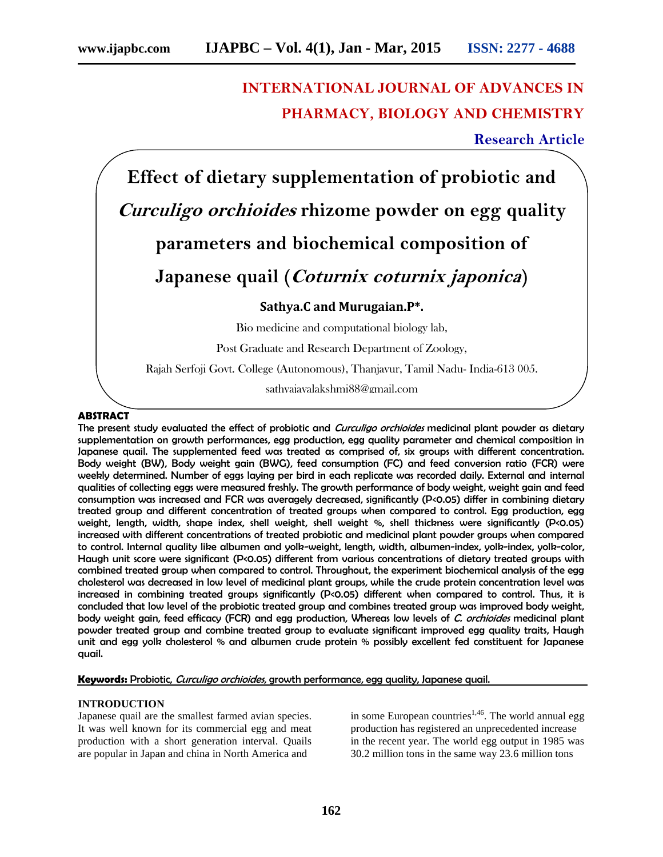# **INTERNATIONAL JOURNAL OF ADVANCES IN PHARMACY, BIOLOGY AND CHEMISTRY**

**Research Article**

**Effect of dietary supplementation of probiotic and** *Curculigo orchioides* **rhizome powder on egg quality parameters and biochemical composition of Japanese quail (***Coturnix coturnix japonica***) Sathya.C and Murugaian.P\*.**

Bio medicine and computational biology lab,

Post Graduate and Research Department of Zoology,

Rajah Serfoji Govt. College (Autonomous), Thanjavur, Tamil Nadu- India-613 005.

sathyajayalakshmi88@gmail.com

# **ABSTRACT**

The present study evaluated the effect of probiotic and *Curculigo orchioides* medicinal plant powder as dietary supplementation on growth performances, egg production, egg quality parameter and chemical composition in Japanese quail. The supplemented feed was treated as comprised of, six groups with different concentration. Body weight (BW), Body weight gain (BWG), feed consumption (FC) and feed conversion ratio (FCR) were weekly determined. Number of eggs laying per bird in each replicate was recorded daily. External and internal qualities of collecting eggs were measured freshly. The growth performance of body weight, weight gain and feed consumption was increased and FCR was averagely decreased, significantly (P<0.05) differ in combining dietary treated group and different concentration of treated groups when compared to control. Egg production, egg weight, length, width, shape index, shell weight, shell weight %, shell thickness were significantly (P<0.05) increased with different concentrations of treated probiotic and medicinal plant powder groups when compared to control. Internal quality like albumen and yolk-weight, length, width, albumen-index, yolk-index, yolk-color, Haugh unit score were significant (P<0.05) different from various concentrations of dietary treated groups with combined treated group when compared to control. Throughout, the experiment biochemical analysis of the egg cholesterol was decreased in low level of medicinal plant groups, while the crude protein concentration level was increased in combining treated groups significantly (P<0.05) different when compared to control. Thus, it is concluded that low level of the probiotic treated group and combines treated group was improved body weight, body weight gain, feed efficacy (FCR) and egg production, Whereas low levels of *C. orchioides* medicinal plant powder treated group and combine treated group to evaluate significant improved egg quality traits, Haugh unit and egg yolk cholesterol % and albumen crude protein % possibly excellent fed constituent for Japanese quail.

**Keywords:** Probiotic, *Curculigo orchioides*, growth performance, egg quality, Japanese quail.

#### **INTRODUCTION**

Japanese quail are the smallest farmed avian species. It was well known for its commercial egg and meat production with a short generation interval. Quails are popular in Japan and china in North America and

in some European countries<sup>1,46</sup>. The world annual egg production has registered an unprecedented increase in the recent year. The world egg output in 1985 was 30.2 million tons in the same way 23.6 million tons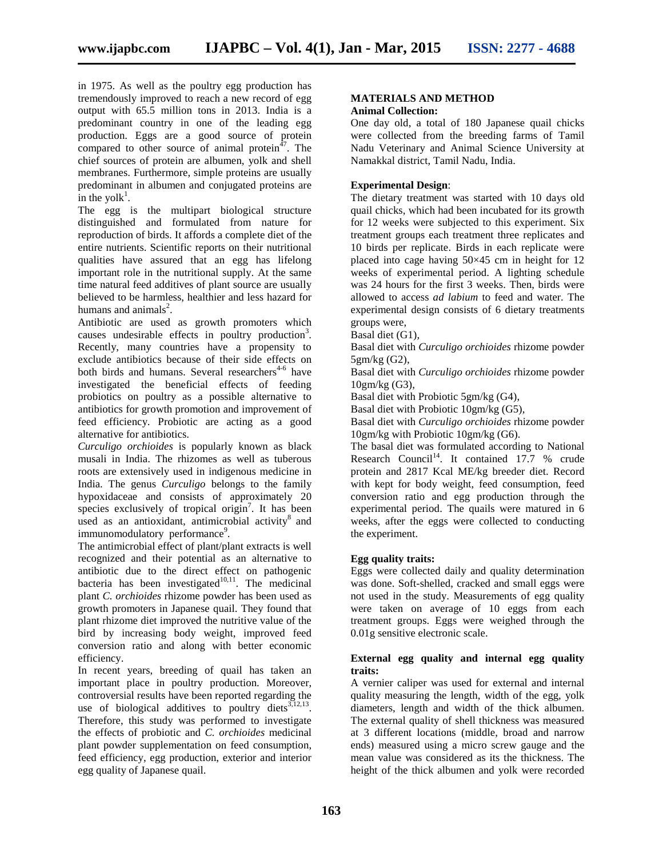in 1975. As well as the poultry egg production has tremendously improved to reach a new record of egg output with 65.5 million tons in 2013. India is a predominant country in one of the leading egg production. Eggs are a good source of protein compared to other source of animal protein<sup> $47$ </sup>. The chief sources of protein are albumen, yolk and shell membranes. Furthermore, simple proteins are usually predominant in albumen and conjugated proteins are in the yolk<sup>1</sup>.

The egg is the multipart biological structure distinguished and formulated from nature for reproduction of birds. It affords a complete diet of the entire nutrients. Scientific reports on their nutritional qualities have assured that an egg has lifelong important role in the nutritional supply. At the same time natural feed additives of plant source are usually believed to be harmless, healthier and less hazard for humans and animals $^2$ .

Antibiotic are used as growth promoters which causes undesirable effects in poultry production<sup>3</sup>. Recently, many countries have a propensity to exclude antibiotics because of their side effects on both birds and humans. Several researchers<sup>4-6</sup> have investigated the beneficial effects of feeding probiotics on poultry as a possible alternative to antibiotics for growth promotion and improvement of feed efficiency. Probiotic are acting as a good alternative for antibiotics.

*Curculigo orchioides* is popularly known as black musali in India. The rhizomes as well as tuberous roots are extensively used in indigenous medicine in India. The genus *Curculigo* belongs to the family hypoxidaceae and consists of approximately 20 species exclusively of tropical origin<sup>7</sup>. It has been used as an antioxidant, antimicrobial activity<sup>8</sup> and immunomodulatory performance<sup>9</sup>.

The antimicrobial effect of plant/plant extracts is well recognized and their potential as an alternative to antibiotic due to the direct effect on pathogenic bacteria has been investigated $10,11$ . The medicinal plant *C. orchioides* rhizome powder has been used as growth promoters in Japanese quail. They found that plant rhizome diet improved the nutritive value of the bird by increasing body weight, improved feed conversion ratio and along with better economic efficiency.

In recent years, breeding of quail has taken an important place in poultry production. Moreover, controversial results have been reported regarding the use of biological additives to poultry diets $3,12,13$ . Therefore, this study was performed to investigate the effects of probiotic and *C. orchioides* medicinal plant powder supplementation on feed consumption, feed efficiency, egg production, exterior and interior egg quality of Japanese quail.

#### **MATERIALS AND METHOD Animal Collection:**

One day old, a total of 180 Japanese quail chicks were collected from the breeding farms of Tamil Nadu Veterinary and Animal Science University at Namakkal district, Tamil Nadu, India.

# **Experimental Design**:

The dietary treatment was started with 10 days old quail chicks, which had been incubated for its growth for 12 weeks were subjected to this experiment. Six treatment groups each treatment three replicates and 10 birds per replicate. Birds in each replicate were placed into cage having 50×45 cm in height for 12 weeks of experimental period. A lighting schedule was 24 hours for the first 3 weeks. Then, birds were allowed to access *ad labium* to feed and water. The experimental design consists of 6 dietary treatments groups were,

Basal diet (G1),

Basal diet with *Curculigo orchioides* rhizome powder 5gm/kg (G2),

Basal diet with *Curculigo orchioides* rhizome powder 10gm/kg (G3),

Basal diet with Probiotic 5gm/kg (G4),

Basal diet with Probiotic 10gm/kg (G5),

Basal diet with *Curculigo orchioides* rhizome powder 10gm/kg with Probiotic 10gm/kg (G6).

The basal diet was formulated according to National Research Council<sup>14</sup>. It contained 17.7 % crude protein and 2817 Kcal ME/kg breeder diet. Record with kept for body weight, feed consumption, feed conversion ratio and egg production through the experimental period. The quails were matured in 6 weeks, after the eggs were collected to conducting the experiment.

# **Egg quality traits:**

Eggs were collected daily and quality determination was done. Soft-shelled, cracked and small eggs were not used in the study. Measurements of egg quality were taken on average of 10 eggs from each treatment groups. Eggs were weighed through the 0.01g sensitive electronic scale.

### **External egg quality and internal egg quality traits:**

A vernier caliper was used for external and internal quality measuring the length, width of the egg, yolk diameters, length and width of the thick albumen. The external quality of shell thickness was measured at 3 different locations (middle, broad and narrow ends) measured using a micro screw gauge and the mean value was considered as its the thickness. The height of the thick albumen and yolk were recorded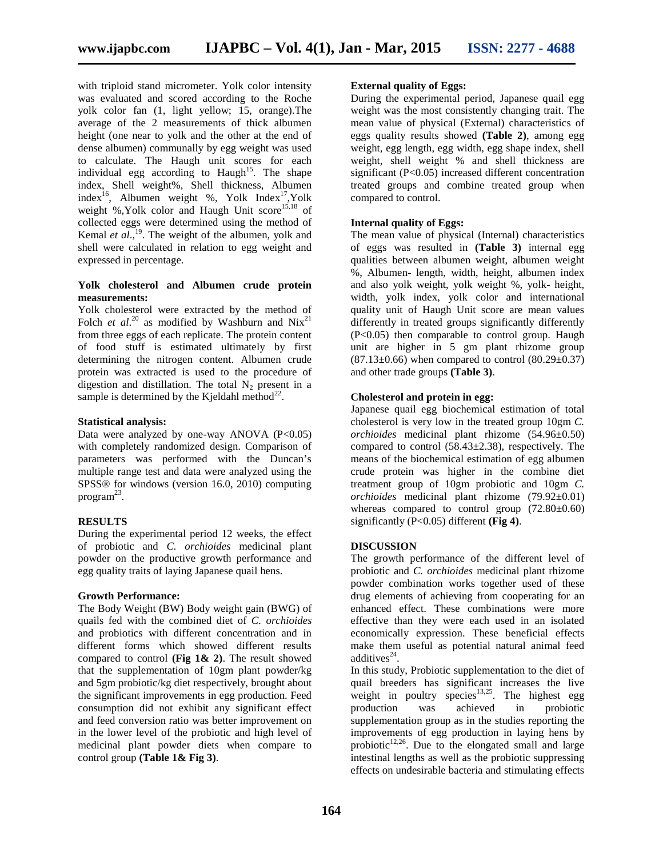with triploid stand micrometer. Yolk color intensity was evaluated and scored according to the Roche yolk color fan (1, light yellow; 15, orange).The average of the 2 measurements of thick albumen height (one near to yolk and the other at the end of dense albumen) communally by egg weight was used to calculate. The Haugh unit scores for each individual egg according to Haugh<sup>15</sup>. The shape index, Shell weight%, Shell thickness, Albumen index<sup>16</sup>, Albumen weight %, Yolk Index<sup>17</sup>, Yolk weight %,Yolk color and Haugh Unit score<sup>15,18</sup> of collected eggs were determined using the method of Kemal *et al.*,<sup>19</sup>. The weight of the albumen, yolk and shell were calculated in relation to egg weight and expressed in percentage.

# **Yolk cholesterol and Albumen crude protein measurements:**

Yolk cholesterol were extracted by the method of Folch *et al.*<sup>20</sup> as modified by Washburn and  $Nix^{21}$ from three eggs of each replicate. The protein content of food stuff is estimated ultimately by first determining the nitrogen content. Albumen crude protein was extracted is used to the procedure of digestion and distillation. The total  $N_2$  present in a sample is determined by the Kjeldahl method $^{22}$ .

## **Statistical analysis:**

Data were analyzed by one-way ANOVA  $(P<0.05)$ with completely randomized design. Comparison of parameters was performed with the Duncan's multiple range test and data were analyzed using the SPSS® for windows (version 16.0, 2010) computing program<sup>23</sup>.

# **RESULTS**

During the experimental period 12 weeks, the effect of probiotic and *C. orchioides* medicinal plant powder on the productive growth performance and egg quality traits of laying Japanese quail hens.

#### **Growth Performance:**

The Body Weight (BW) Body weight gain (BWG) of quails fed with the combined diet of *C. orchioides* and probiotics with different concentration and in different forms which showed different results compared to control **(Fig 1& 2)**. The result showed that the supplementation of 10gm plant powder/kg and 5gm probiotic/kg diet respectively, brought about the significant improvements in egg production. Feed consumption did not exhibit any significant effect and feed conversion ratio was better improvement on in the lower level of the probiotic and high level of medicinal plant powder diets when compare to control group **(Table 1& Fig 3)**.

# **External quality of Eggs:**

During the experimental period, Japanese quail egg weight was the most consistently changing trait. The mean value of physical (External) characteristics of eggs quality results showed **(Table 2)**, among egg weight, egg length, egg width, egg shape index, shell weight, shell weight % and shell thickness are significant (P<0.05) increased different concentration treated groups and combine treated group when compared to control.

## **Internal quality of Eggs:**

The mean value of physical (Internal) characteristics of eggs was resulted in **(Table 3)** internal egg qualities between albumen weight, albumen weight %, Albumen- length, width, height, albumen index and also yolk weight, yolk weight %, yolk- height, width, yolk index, yolk color and international quality unit of Haugh Unit score are mean values differently in treated groups significantly differently (P<0.05) then comparable to control group. Haugh unit are higher in 5 gm plant rhizome group  $(87.13\pm0.66)$  when compared to control  $(80.29\pm0.37)$ and other trade groups **(Table 3)**.

#### **Cholesterol and protein in egg:**

Japanese quail egg biochemical estimation of total cholesterol is very low in the treated group 10gm *C. orchioides* medicinal plant rhizome (54.96±0.50) compared to control  $(58.43\pm2.38)$ , respectively. The means of the biochemical estimation of egg albumen crude protein was higher in the combine diet treatment group of 10gm probiotic and 10gm *C. orchioides* medicinal plant rhizome (79.92±0.01) whereas compared to control group  $(72.80\pm0.60)$ significantly (P<0.05) different **(Fig 4)**.

### **DISCUSSION**

The growth performance of the different level of probiotic and *C. orchioides* medicinal plant rhizome powder combination works together used of these drug elements of achieving from cooperating for an enhanced effect. These combinations were more effective than they were each used in an isolated economically expression. These beneficial effects make them useful as potential natural animal feed additives<sup>24</sup>.

In this study, Probiotic supplementation to the diet of quail breeders has significant increases the live weight in poultry species  $13,25$ . The highest egg production was achieved in probiotic supplementation group as in the studies reporting the improvements of egg production in laying hens by probiotic $12,26$ . Due to the elongated small and large intestinal lengths as well as the probiotic suppressing effects on undesirable bacteria and stimulating effects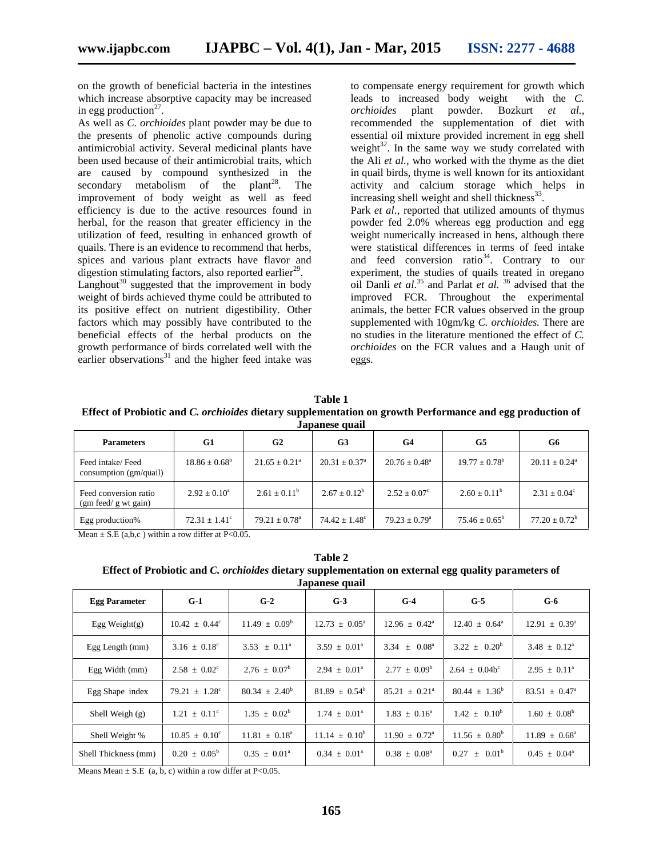on the growth of beneficial bacteria in the intestines which increase absorptive capacity may be increased in egg production<sup>27</sup>.

As well as *C. orchioides* plant powder may be due to the presents of phenolic active compounds during antimicrobial activity. Several medicinal plants have been used because of their antimicrobial traits, which are caused by compound synthesized in the secondary metabolism of the plant<sup>28</sup>. . The improvement of body weight as well as feed efficiency is due to the active resources found in herbal, for the reason that greater efficiency in the utilization of feed, resulting in enhanced growth of quails. There is an evidence to recommend that herbs, spices and various plant extracts have flavor and digestion stimulating factors, also reported earlier<sup>29</sup>.

Langhout<sup>30</sup> suggested that the improvement in body weight of birds achieved thyme could be attributed to its positive effect on nutrient digestibility. Other factors which may possibly have contributed to the beneficial effects of the herbal products on the growth performance of birds correlated well with the earlier observations<sup>31</sup> and the higher feed intake was

to compensate energy requirement for growth which leads to increased body weight with the *C*.<br> *orchioides* plant powder. Bozkurt et al., *orchioides* plant powder. Bozkurt *et al.,* recommended the supplementation of diet with essential oil mixture provided increment in egg shell weight $32$ . In the same way we study correlated with the Ali *et al.*, who worked with the thyme as the diet in quail birds, thyme is well known for its antioxidant activity and calcium storage which helps in increasing shell weight and shell thickness $33$ . Park *et al*., reported that utilized amounts of thymus powder fed 2.0% whereas egg production and egg weight numerically increased in hens, although there were statistical differences in terms of feed intake and feed conversion ratio<sup>34</sup>. Contrary to our experiment, the studies of quails treated in oregano oil Danli *et al*.<sup>35</sup> and Parlat *et al.* <sup>36</sup> advised that the improved FCR. Throughout the experimental animals, the better FCR values observed in the group supplemented with 10gm/kg *C. orchioides.* There are no studies in the literature mentioned the effect of *C. orchioides* on the FCR values and a Haugh unit of eggs.

**Table 1 Effect of Probiotic and** *C. orchioides* **dietary supplementation on growth Performance and egg production of Japanese quail**

| <b>Parameters</b>                                 | G1                       | G2                       | G3                       | G4                       | G5                       | G6                            |
|---------------------------------------------------|--------------------------|--------------------------|--------------------------|--------------------------|--------------------------|-------------------------------|
| Feed intake/Feed<br>consumption $(gm/quail)$      | $18.86 \pm 0.68^{\rm b}$ | $21.65 + 0.21^a$         | $20.31 \pm 0.37^{\circ}$ | $20.76 \pm 0.48^{\circ}$ | $19.77 \pm 0.78^{\rm b}$ | $20.11 \pm 0.24$ <sup>a</sup> |
| Feed conversion ratio<br>$(gm$ feed/ $g$ wt gain) | $2.92 + 0.10^a$          | $2.61 + 0.11^b$          | $2.67 \pm 0.12^b$        | $2.52 + 0.07^{\circ}$    | $2.60 \pm 0.11^{\rm b}$  | $2.31 \pm 0.04^{\circ}$       |
| Egg production%                                   | $72.31 \pm 1.41^{\circ}$ | $79.21 \pm 0.78^{\circ}$ | $74.42 \pm 1.48^{\circ}$ | $79.23 + 0.79^{\circ}$   | $75.46 + 0.65^{\circ}$   | $77.20 \pm 0.72^b$            |

Mean  $\pm$  S.E (a,b,c) within a row differ at P<0.05.

**Table 2 Effect of Probiotic and** *C. orchioides* **dietary supplementation on external egg quality parameters of Japanese quail**

| vupunoo quun         |                          |                             |                          |                          |                          |                          |  |
|----------------------|--------------------------|-----------------------------|--------------------------|--------------------------|--------------------------|--------------------------|--|
| <b>Egg Parameter</b> | $G-1$                    | $G-2$                       | $G-3$                    | $G-4$                    | $G-5$                    | $G-6$                    |  |
| Egg Weight $(g)$     | $10.42 \pm 0.44^{\circ}$ | $11.49 \pm 0.09^b$          | $12.73 \pm 0.05^{\circ}$ | $12.96 \pm 0.42^{\circ}$ | $12.40 \pm 0.64^{\circ}$ | $12.91 \pm 0.39^{\circ}$ |  |
| Egg Length (mm)      | $3.16 \pm 0.18^{\circ}$  | $3.53 \pm 0.11^{\circ}$     | $3.59 \pm 0.01^{\circ}$  | $3.34 \pm 0.08^{\circ}$  | $3.22 + 0.20^b$          | $3.48 \pm 0.12^{\circ}$  |  |
| Egg Width (mm)       | $2.58 \pm 0.02^{\circ}$  | $2.76 \pm 0.07^{\rm b}$     | $2.94 \pm 0.01^{\circ}$  | $2.77 + 0.09^b$          | $2.64 \pm 0.04b^c$       | $2.95 \pm 0.11^{\circ}$  |  |
| Egg Shape index      | $79.21 \pm 1.28^{\circ}$ | $80.34 \pm 2.40^b$          | $81.89 + 0.54^b$         | $85.21 + 0.21^a$         | $80.44 + 1.36^b$         | $83.51 \pm 0.47^{\circ}$ |  |
| Shell Weigh $(g)$    | $1.21 \pm 0.11^{\circ}$  | $1.35 + 0.02^b$             | $1.74 \pm 0.01^{\circ}$  | $1.83 \pm 0.16^{\circ}$  | $1.42 + 0.10^{b}$        | $1.60 \pm 0.08^b$        |  |
| Shell Weight %       | $10.85 \pm 0.10^{\circ}$ | $11.81 \pm 0.18^{\text{a}}$ | $11.14 \pm 0.10^b$       | $11.90 \pm 0.72^{\circ}$ | $11.56 \pm 0.80^b$       | $11.89 \pm 0.68^{\circ}$ |  |
| Shell Thickness (mm) | $0.20 \pm 0.05^{\circ}$  | $0.35 \pm 0.01^{\circ}$     | $0.34 \pm 0.01^{\circ}$  | $0.38 \pm 0.08^{\circ}$  | $0.27 \pm 0.01^{\circ}$  | $0.45 \pm 0.04^{\circ}$  |  |

Means Mean  $\pm$  S.E (a, b, c) within a row differ at P<0.05.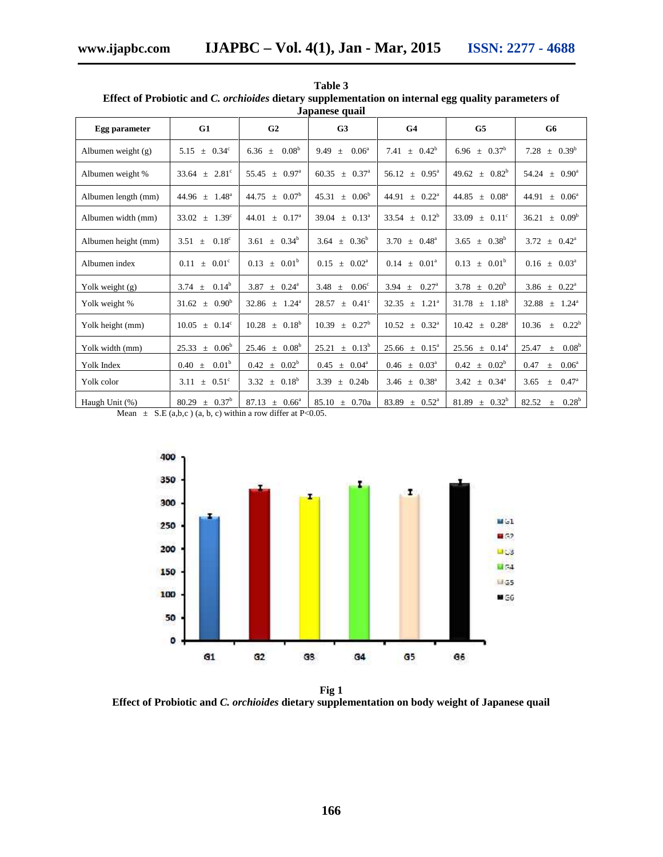| Japanese quail      |                                 |                                  |                                    |                                 |                                  |                                     |  |
|---------------------|---------------------------------|----------------------------------|------------------------------------|---------------------------------|----------------------------------|-------------------------------------|--|
| Egg parameter       | G1                              | G <sub>2</sub>                   | G <sub>3</sub>                     | G <sub>4</sub>                  | G <sub>5</sub>                   | G6                                  |  |
| Albumen weight (g)  | $5.15 \pm 0.34^{\circ}$         | 0.08 <sup>b</sup><br>6.36 $\pm$  | 9.49<br>$0.06^{\rm a}$<br>$\pm$    | 7.41 $\pm$ 0.42 <sup>b</sup>    | 6.96 $\pm$ 0.37 <sup>b</sup>     | 7.28 $\pm$ 0.39 <sup>b</sup>        |  |
| Albumen weight %    | $33.64 \pm 2.81^{\circ}$        | $55.45 \pm 0.97^{\circ}$         | $60.35 \pm 0.37^{\circ}$           | $56.12 \pm 0.95^{\circ}$        | $49.62 \pm 0.82^b$               | $54.24 \pm 0.90^{\circ}$            |  |
| Albumen length (mm) | $44.96 \pm 1.48^{\circ}$        | $44.75 \pm 0.07^b$               | $45.31 \pm 0.06^b$                 | $44.91 \pm 0.22^{\text{a}}$     | 44.85<br>$\pm$ 0.08 <sup>a</sup> | 44.91<br>$\pm 0.06^{\circ}$         |  |
| Albumen width (mm)  | $33.02 \pm 1.39^{\circ}$        | $44.01 \pm 0.17^{\circ}$         | $39.04 \pm 0.13^{\circ}$           | $33.54 \pm 0.12^b$              | 33.09<br>$+$ 0.11 <sup>c</sup>   | $\pm$ 0.09 <sup>b</sup><br>36.21    |  |
| Albumen height (mm) | 0.18 <sup>c</sup><br>3.51 $\pm$ | $3.61 \pm 0.34^b$                | 3.64 $\pm$ 0.36 <sup>b</sup>       | $3.70 \pm 0.48^{\circ}$         | $3.65 \pm 0.38^b$                | $3.72 \pm 0.42^{\circ}$             |  |
| Albumen index       | $0.11 + 0.01^{\circ}$           | $0.13 \pm 0.01^b$                | $0.15 + 0.02^a$                    | 0.14<br>$\pm$ 0.01 <sup>a</sup> | $0.13 \pm 0.01^b$                | $0.16 \pm 0.03^{\circ}$             |  |
| Yolk weight $(g)$   | $0.14^b$<br>3.74 $\pm$          | 3.87 $\pm$ 0.24 <sup>a</sup>     | 3.48 $\pm$<br>0.06 <sup>c</sup>    | 3.94 $\pm$ 0.27 <sup>a</sup>    | $3.78 \pm 0.20^b$                | 3.86 $\pm$ 0.22 <sup>a</sup>        |  |
| Yolk weight %       | $31.62 \pm 0.90^b$              | $32.86 \pm 1.24^{\circ}$         | $28.57 \pm 0.41^{\circ}$           | $32.35 \pm 1.21^{\circ}$        | $31.78 \pm 1.18^b$               | $32.88 \pm 1.24^{\circ}$            |  |
| Yolk height (mm)    | $10.05 \pm 0.14^c$              | $10.28 \pm 0.18^b$               | $10.39 \pm 0.27^b$                 | $10.52 \pm 0.32^{\circ}$        | $10.42 \pm 0.28^{\circ}$         | $0.22^{\rm b}$<br>10.36<br>$+$      |  |
| Yolk width (mm)     | $25.33 \pm 0.06^b$              | $25.46 \pm 0.08^b$               | $25.21 \pm 0.13^b$                 | $25.66 \pm 0.15^{\circ}$        | $25.56 \pm 0.14^a$               | 0.08 <sup>b</sup><br>25.47<br>$\pm$ |  |
| Yolk Index          | 0.01 <sup>b</sup><br>$0.40 \pm$ | $0.42 \pm 0.02^b$                | $0.45 \pm 0.04^{\circ}$            | $0.46 \pm 0.03^{\circ}$         | $0.42 \pm 0.02^b$                | 0.47<br>$0.06^{\circ}$<br>$\pm$     |  |
| Yolk color          | $3.11 \pm 0.51^{\circ}$         | $3.32 \pm 0.18^b$                | 3.39<br>0.24 <sub>b</sub><br>$\pm$ | 3.46 $\pm$ 0.38 <sup>a</sup>    | $3.42 \pm 0.34^{\circ}$          | $0.47^{\rm a}$<br>3.65<br>$+$       |  |
| Haugh Unit (%)      | $80.29 \pm 0.37^b$              | 87.13<br>$\pm$ 0.66 <sup>a</sup> | $85.10 \pm 0.70a$                  | $83.89 \pm 0.52^{\circ}$        | $81.89 \pm 0.32^b$               | $0.28^{b}$<br>82.52<br>$+$          |  |

**Table 3 Effect of Probiotic and** *C. orchioides* **dietary supplementation on internal egg quality parameters of**

Mean  $\pm$  S.E (a,b,c) (a, b, c) within a row differ at P<0.05.



**Fig 1 Effect of Probiotic and** *C. orchioides* **dietary supplementation on body weight of Japanese quail**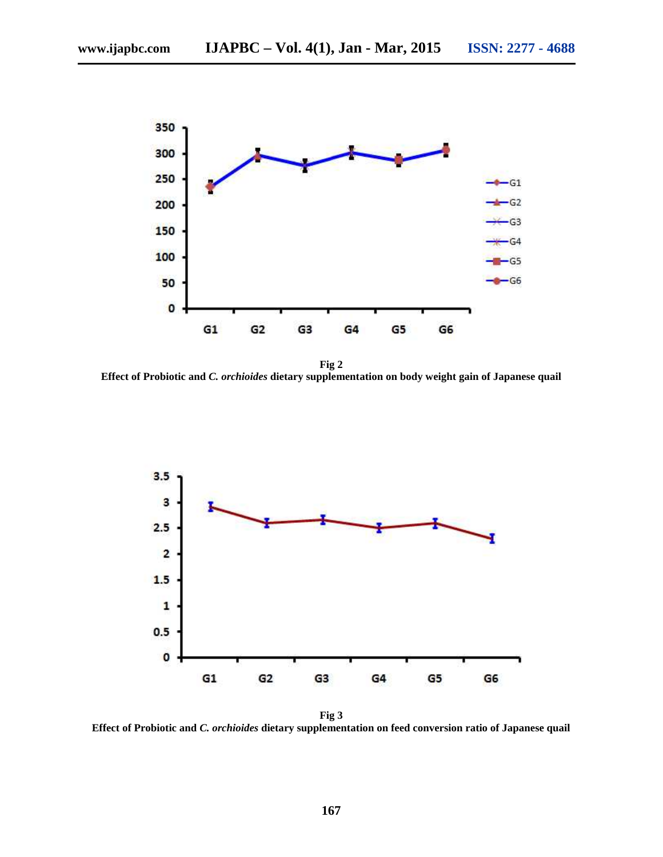

**Fig 2 Effect of Probiotic and** *C. orchioides* **dietary supplementation on body weight gain of Japanese quail**



**Effect of Probiotic and** *C. orchioides* **dietary supplementation on feed conversion ratio of Japanese quail**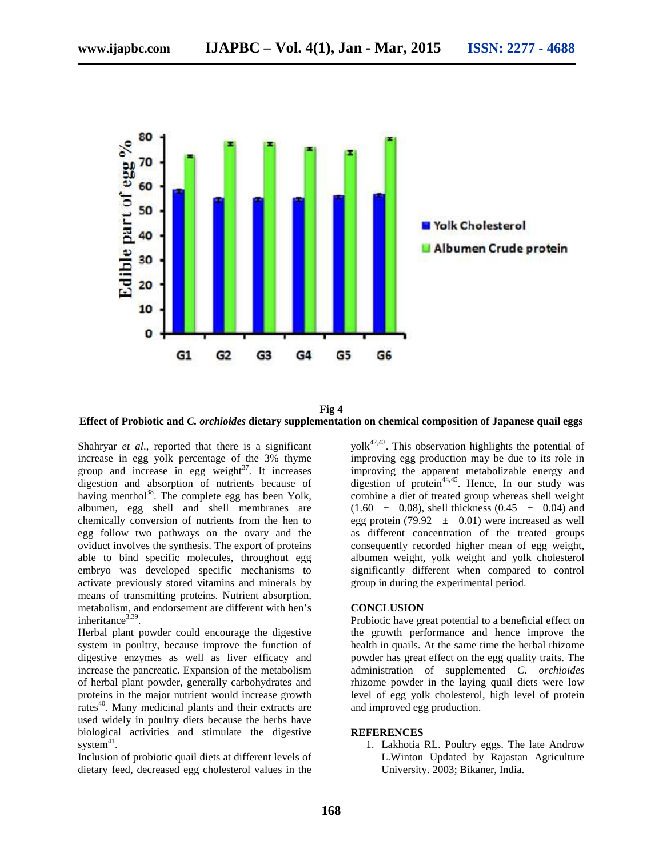

**Fig 4 Effect of Probiotic and** *C. orchioides* **dietary supplementation on chemical composition of Japanese quail eggs**

Shahryar *et al*., reported that there is a significant increase in egg yolk percentage of the 3% thyme group and increase in egg weight $3^7$ . It increases digestion and absorption of nutrients because of having menthol<sup>38</sup>. The complete egg has been Yolk, albumen, egg shell and shell membranes are chemically conversion of nutrients from the hen to egg follow two pathways on the ovary and the oviduct involves the synthesis. The export of proteins able to bind specific molecules, throughout egg embryo was developed specific mechanisms to activate previously stored vitamins and minerals by means of transmitting proteins. Nutrient absorption, metabolism, and endorsement are different with hen's inheritance $3,39$ .

Herbal plant powder could encourage the digestive system in poultry, because improve the function of digestive enzymes as well as liver efficacy and increase the pancreatic. Expansion of the metabolism of herbal plant powder, generally carbohydrates and proteins in the major nutrient would increase growth rates<sup>40</sup>. Many medicinal plants and their extracts are used widely in poultry diets because the herbs have biological activities and stimulate the digestive system $41$ .

Inclusion of probiotic quail diets at different levels of dietary feed, decreased egg cholesterol values in the

 $y$ olk<sup>42,43</sup>. This observation highlights the potential of improving egg production may be due to its role in improving the apparent metabolizable energy and digestion of protein<sup>44,45</sup>. Hence, In our study was combine a diet of treated group whereas shell weight  $(1.60 \pm 0.08)$ , shell thickness  $(0.45 \pm 0.04)$  and egg protein (79.92  $\pm$  0.01) were increased as well as different concentration of the treated groups consequently recorded higher mean of egg weight, albumen weight, yolk weight and yolk cholesterol significantly different when compared to control group in during the experimental period.

# **CONCLUSION**

Probiotic have great potential to a beneficial effect on the growth performance and hence improve the health in quails. At the same time the herbal rhizome powder has great effect on the egg quality traits. The administration of supplemented *C. orchioides* rhizome powder in the laying quail diets were low level of egg yolk cholesterol, high level of protein and improved egg production.

#### **REFERENCES**

1. Lakhotia RL. Poultry eggs. The late Androw L.Winton Updated by Rajastan Agriculture University. 2003; Bikaner, India.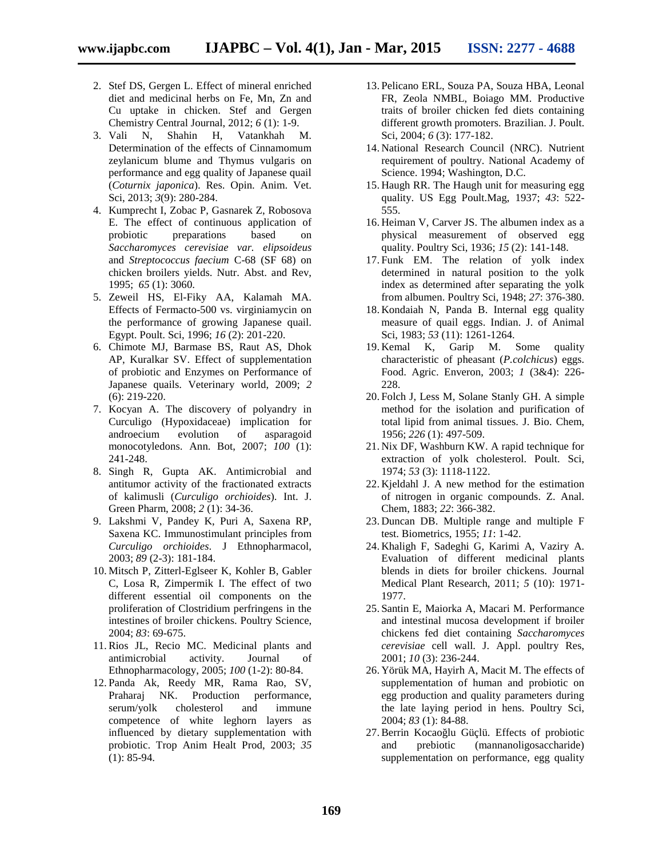- 2. Stef DS, Gergen L. Effect of mineral enriched diet and medicinal herbs on Fe, Mn, Zn and Cu uptake in chicken. Stef and Gergen Chemistry Central Journal, 2012; *6* (1): 1-9.
- 3. Vali N, Shahin H, Vatankhah M. Determination of the effects of Cinnamomum zeylanicum blume and Thymus vulgaris on performance and egg quality of Japanese quail (*Coturnix japonica*). Res. Opin. Anim. Vet. Sci, 2013; *3*(9): 280-284.
- 4. Kumprecht I, Zobac P, Gasnarek Z, Robosova E. The effect of continuous application of probiotic preparations based on *Saccharomyces cerevisiae var. elipsoideus* and *Streptococcus faecium* C-68 (SF 68) on chicken broilers yields. Nutr. Abst. and Rev, 1995; *65* (1): 3060.
- 5. Zeweil HS, El-Fiky AA, Kalamah MA. Effects of Fermacto-500 vs. virginiamycin on the performance of growing Japanese quail. Egypt. Poult. Sci, 1996; *16* (2): 201-220.
- 6. Chimote MJ, Barmase BS, Raut AS, Dhok AP, Kuralkar SV. Effect of supplementation of probiotic and Enzymes on Performance of Japanese quails. Veterinary world, 2009; *2* (6): 219-220.
- 7. Kocyan A. The discovery of polyandry in Curculigo (Hypoxidaceae) implication for androecium evolution of asparagoid monocotyledons. Ann. Bot, 2007; *100* (1): 241-248.
- 8. Singh R, Gupta AK. Antimicrobial and antitumor activity of the fractionated extracts of kalimusli (*Curculigo orchioides*). Int. J. Green Pharm, 2008; *2* (1): 34-36.
- 9. Lakshmi V, Pandey K, Puri A, Saxena RP, Saxena KC. Immunostimulant principles from *Curculigo orchioides*. J Ethnopharmacol, 2003; *89* (2-3): 181-184.
- 10. Mitsch P, Zitterl-Eglseer K, Kohler B, Gabler C, Losa R, Zimpermik I. The effect of two different essential oil components on the proliferation of Clostridium perfringens in the intestines of broiler chickens. Poultry Science, 2004; *83*: 69-675.
- 11.Rios JL, Recio MC. Medicinal plants and antimicrobial activity. Journal of Ethnopharmacology, 2005; *100* (1-2): 80-84.
- 12. Panda Ak, Reedy MR, Rama Rao, SV, Praharaj NK. Production performance, serum/yolk cholesterol and immune competence of white leghorn layers as influenced by dietary supplementation with probiotic. Trop Anim Healt Prod, 2003; *35* (1): 85-94.
- 13. Pelicano ERL, Souza PA, Souza HBA, Leonal FR, Zeola NMBL, Boiago MM. Productive traits of broiler chicken fed diets containing different growth promoters. Brazilian. J. Poult. Sci, 2004; *6* (3): 177-182.
- 14. National Research Council (NRC). Nutrient requirement of poultry. National Academy of Science. 1994; Washington, D.C.
- 15. Haugh RR. The Haugh unit for measuring egg quality. US Egg Poult.Mag, 1937; *43*: 522- 555.
- 16. Heiman V, Carver JS. The albumen index as a physical measurement of observed egg quality. Poultry Sci, 1936; *15* (2): 141-148.
- 17. Funk EM. The relation of yolk index determined in natural position to the yolk index as determined after separating the yolk from albumen. Poultry Sci, 1948; *27*: 376-380.
- 18. Kondaiah N, Panda B. Internal egg quality measure of quail eggs. Indian. J. of Animal Sci, 1983; *53* (11): 1261-1264.
- 19. Kemal K, Garip M. Some quality characteristic of pheasant (*P.colchicus*) eggs. Food. Agric. Enveron, 2003; *1* (3&4): 226- 228.
- 20. Folch J, Less M, Solane Stanly GH. A simple method for the isolation and purification of total lipid from animal tissues. J. Bio. Chem, 1956; *226* (1): 497-509.
- 21. Nix DF, Washburn KW. A rapid technique for extraction of yolk cholesterol. Poult. Sci, 1974; *53* (3): 1118-1122.
- 22. Kjeldahl J. A new method for the estimation of nitrogen in organic compounds. Z. Anal. Chem, 1883; *22*: 366-382.
- 23. Duncan DB. Multiple range and multiple F test. Biometrics, 1955; *11*: 1-42.
- 24. Khaligh F, Sadeghi G, Karimi A, Vaziry A. Evaluation of different medicinal plants blends in diets for broiler chickens. Journal Medical Plant Research, 2011; *5* (10): 1971- 1977.
- 25. Santin E, Maiorka A, Macari M. Performance and intestinal mucosa development if broiler chickens fed diet containing *Saccharomyces cerevisiae* cell wall. J. Appl. poultry Res, 2001; *10* (3): 236-244.
- 26. Yörük MA, Hayirh A, Macit M. The effects of supplementation of human and probiotic on egg production and quality parameters during the late laying period in hens. Poultry Sci, 2004; *83* (1): 84-88.
- 27. Berrin Kocao lu Güçlü. Effects of probiotic and prebiotic (mannanoligosaccharide) supplementation on performance, egg quality